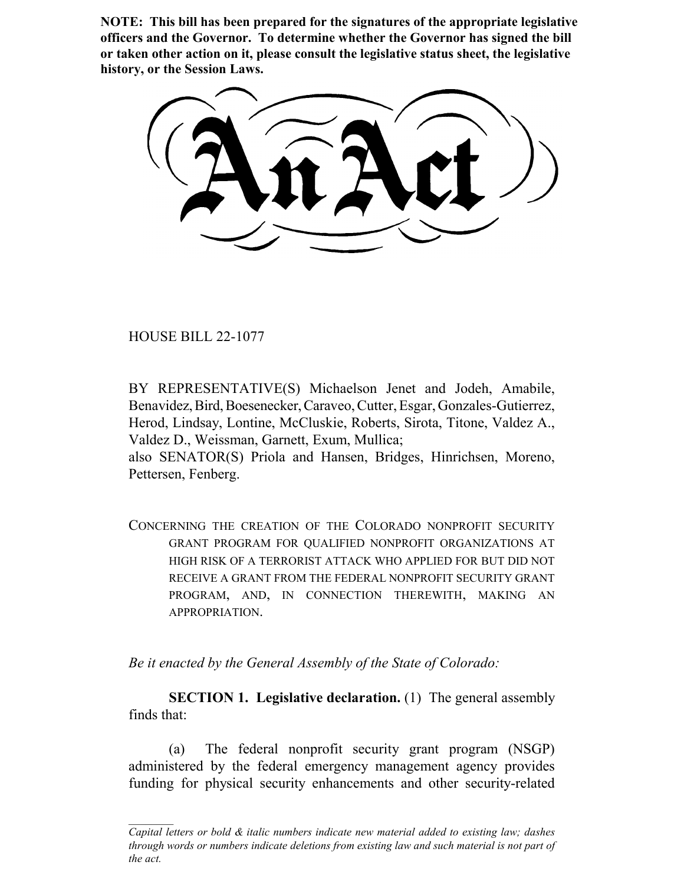**NOTE: This bill has been prepared for the signatures of the appropriate legislative officers and the Governor. To determine whether the Governor has signed the bill or taken other action on it, please consult the legislative status sheet, the legislative history, or the Session Laws.**

HOUSE BILL 22-1077

BY REPRESENTATIVE(S) Michaelson Jenet and Jodeh, Amabile, Benavidez, Bird, Boesenecker, Caraveo, Cutter, Esgar, Gonzales-Gutierrez, Herod, Lindsay, Lontine, McCluskie, Roberts, Sirota, Titone, Valdez A., Valdez D., Weissman, Garnett, Exum, Mullica;

also SENATOR(S) Priola and Hansen, Bridges, Hinrichsen, Moreno, Pettersen, Fenberg.

CONCERNING THE CREATION OF THE COLORADO NONPROFIT SECURITY GRANT PROGRAM FOR QUALIFIED NONPROFIT ORGANIZATIONS AT HIGH RISK OF A TERRORIST ATTACK WHO APPLIED FOR BUT DID NOT RECEIVE A GRANT FROM THE FEDERAL NONPROFIT SECURITY GRANT PROGRAM, AND, IN CONNECTION THEREWITH, MAKING AN APPROPRIATION.

*Be it enacted by the General Assembly of the State of Colorado:*

**SECTION 1. Legislative declaration.** (1) The general assembly finds that:

(a) The federal nonprofit security grant program (NSGP) administered by the federal emergency management agency provides funding for physical security enhancements and other security-related

*Capital letters or bold & italic numbers indicate new material added to existing law; dashes through words or numbers indicate deletions from existing law and such material is not part of the act.*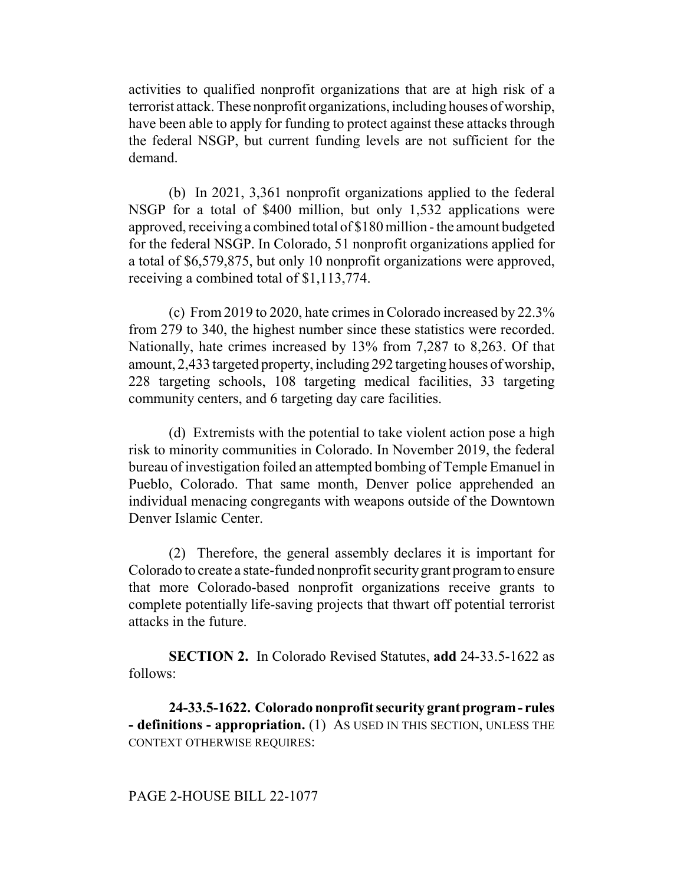activities to qualified nonprofit organizations that are at high risk of a terrorist attack. These nonprofit organizations, including houses of worship, have been able to apply for funding to protect against these attacks through the federal NSGP, but current funding levels are not sufficient for the demand.

(b) In 2021, 3,361 nonprofit organizations applied to the federal NSGP for a total of \$400 million, but only 1,532 applications were approved, receiving a combined total of \$180 million - the amount budgeted for the federal NSGP. In Colorado, 51 nonprofit organizations applied for a total of \$6,579,875, but only 10 nonprofit organizations were approved, receiving a combined total of \$1,113,774.

(c) From 2019 to 2020, hate crimes in Colorado increased by 22.3% from 279 to 340, the highest number since these statistics were recorded. Nationally, hate crimes increased by 13% from 7,287 to 8,263. Of that amount, 2,433 targeted property, including 292 targeting houses of worship, 228 targeting schools, 108 targeting medical facilities, 33 targeting community centers, and 6 targeting day care facilities.

(d) Extremists with the potential to take violent action pose a high risk to minority communities in Colorado. In November 2019, the federal bureau of investigation foiled an attempted bombing of Temple Emanuel in Pueblo, Colorado. That same month, Denver police apprehended an individual menacing congregants with weapons outside of the Downtown Denver Islamic Center.

(2) Therefore, the general assembly declares it is important for Colorado to create a state-funded nonprofit security grant program to ensure that more Colorado-based nonprofit organizations receive grants to complete potentially life-saving projects that thwart off potential terrorist attacks in the future.

**SECTION 2.** In Colorado Revised Statutes, **add** 24-33.5-1622 as follows:

**24-33.5-1622. Colorado nonprofit security grant program - rules - definitions - appropriation.** (1) AS USED IN THIS SECTION, UNLESS THE CONTEXT OTHERWISE REQUIRES: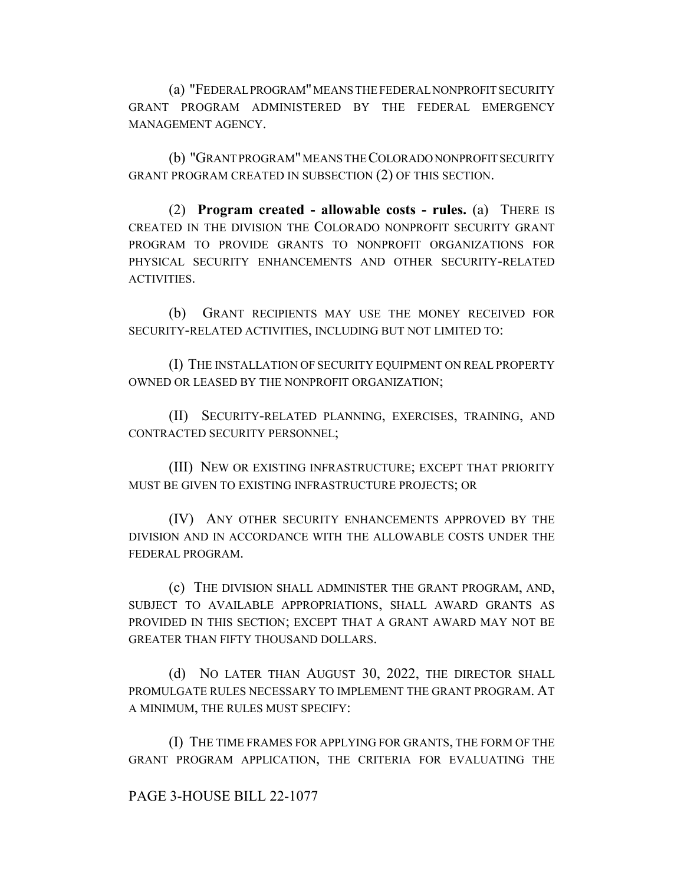(a) "FEDERAL PROGRAM" MEANS THE FEDERAL NONPROFIT SECURITY GRANT PROGRAM ADMINISTERED BY THE FEDERAL EMERGENCY MANAGEMENT AGENCY.

(b) "GRANT PROGRAM" MEANS THE COLORADO NONPROFIT SECURITY GRANT PROGRAM CREATED IN SUBSECTION (2) OF THIS SECTION.

(2) **Program created - allowable costs - rules.** (a) THERE IS CREATED IN THE DIVISION THE COLORADO NONPROFIT SECURITY GRANT PROGRAM TO PROVIDE GRANTS TO NONPROFIT ORGANIZATIONS FOR PHYSICAL SECURITY ENHANCEMENTS AND OTHER SECURITY-RELATED ACTIVITIES.

(b) GRANT RECIPIENTS MAY USE THE MONEY RECEIVED FOR SECURITY-RELATED ACTIVITIES, INCLUDING BUT NOT LIMITED TO:

(I) THE INSTALLATION OF SECURITY EQUIPMENT ON REAL PROPERTY OWNED OR LEASED BY THE NONPROFIT ORGANIZATION;

(II) SECURITY-RELATED PLANNING, EXERCISES, TRAINING, AND CONTRACTED SECURITY PERSONNEL;

(III) NEW OR EXISTING INFRASTRUCTURE; EXCEPT THAT PRIORITY MUST BE GIVEN TO EXISTING INFRASTRUCTURE PROJECTS; OR

(IV) ANY OTHER SECURITY ENHANCEMENTS APPROVED BY THE DIVISION AND IN ACCORDANCE WITH THE ALLOWABLE COSTS UNDER THE FEDERAL PROGRAM.

(c) THE DIVISION SHALL ADMINISTER THE GRANT PROGRAM, AND, SUBJECT TO AVAILABLE APPROPRIATIONS, SHALL AWARD GRANTS AS PROVIDED IN THIS SECTION; EXCEPT THAT A GRANT AWARD MAY NOT BE GREATER THAN FIFTY THOUSAND DOLLARS.

(d) NO LATER THAN AUGUST 30, 2022, THE DIRECTOR SHALL PROMULGATE RULES NECESSARY TO IMPLEMENT THE GRANT PROGRAM. AT A MINIMUM, THE RULES MUST SPECIFY:

(I) THE TIME FRAMES FOR APPLYING FOR GRANTS, THE FORM OF THE GRANT PROGRAM APPLICATION, THE CRITERIA FOR EVALUATING THE

PAGE 3-HOUSE BILL 22-1077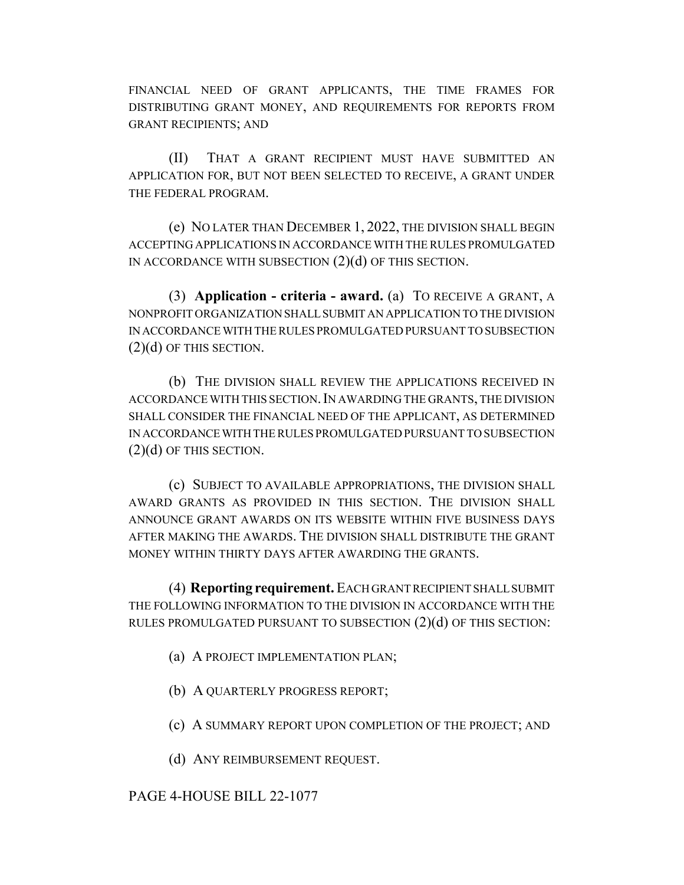FINANCIAL NEED OF GRANT APPLICANTS, THE TIME FRAMES FOR DISTRIBUTING GRANT MONEY, AND REQUIREMENTS FOR REPORTS FROM GRANT RECIPIENTS; AND

(II) THAT A GRANT RECIPIENT MUST HAVE SUBMITTED AN APPLICATION FOR, BUT NOT BEEN SELECTED TO RECEIVE, A GRANT UNDER THE FEDERAL PROGRAM.

(e) NO LATER THAN DECEMBER 1, 2022, THE DIVISION SHALL BEGIN ACCEPTING APPLICATIONS IN ACCORDANCE WITH THE RULES PROMULGATED IN ACCORDANCE WITH SUBSECTION (2)(d) OF THIS SECTION.

(3) **Application - criteria - award.** (a) TO RECEIVE A GRANT, A NONPROFIT ORGANIZATION SHALL SUBMIT AN APPLICATION TO THE DIVISION IN ACCORDANCE WITH THE RULES PROMULGATED PURSUANT TO SUBSECTION  $(2)(d)$  OF THIS SECTION.

(b) THE DIVISION SHALL REVIEW THE APPLICATIONS RECEIVED IN ACCORDANCE WITH THIS SECTION.IN AWARDING THE GRANTS, THE DIVISION SHALL CONSIDER THE FINANCIAL NEED OF THE APPLICANT, AS DETERMINED IN ACCORDANCE WITH THE RULES PROMULGATED PURSUANT TO SUBSECTION  $(2)(d)$  OF THIS SECTION.

(c) SUBJECT TO AVAILABLE APPROPRIATIONS, THE DIVISION SHALL AWARD GRANTS AS PROVIDED IN THIS SECTION. THE DIVISION SHALL ANNOUNCE GRANT AWARDS ON ITS WEBSITE WITHIN FIVE BUSINESS DAYS AFTER MAKING THE AWARDS. THE DIVISION SHALL DISTRIBUTE THE GRANT MONEY WITHIN THIRTY DAYS AFTER AWARDING THE GRANTS.

(4) **Reporting requirement.** EACH GRANT RECIPIENT SHALL SUBMIT THE FOLLOWING INFORMATION TO THE DIVISION IN ACCORDANCE WITH THE RULES PROMULGATED PURSUANT TO SUBSECTION  $(2)(d)$  OF THIS SECTION:

- (a) A PROJECT IMPLEMENTATION PLAN;
- (b) A QUARTERLY PROGRESS REPORT;
- (c) A SUMMARY REPORT UPON COMPLETION OF THE PROJECT; AND
- (d) ANY REIMBURSEMENT REQUEST.

## PAGE 4-HOUSE BILL 22-1077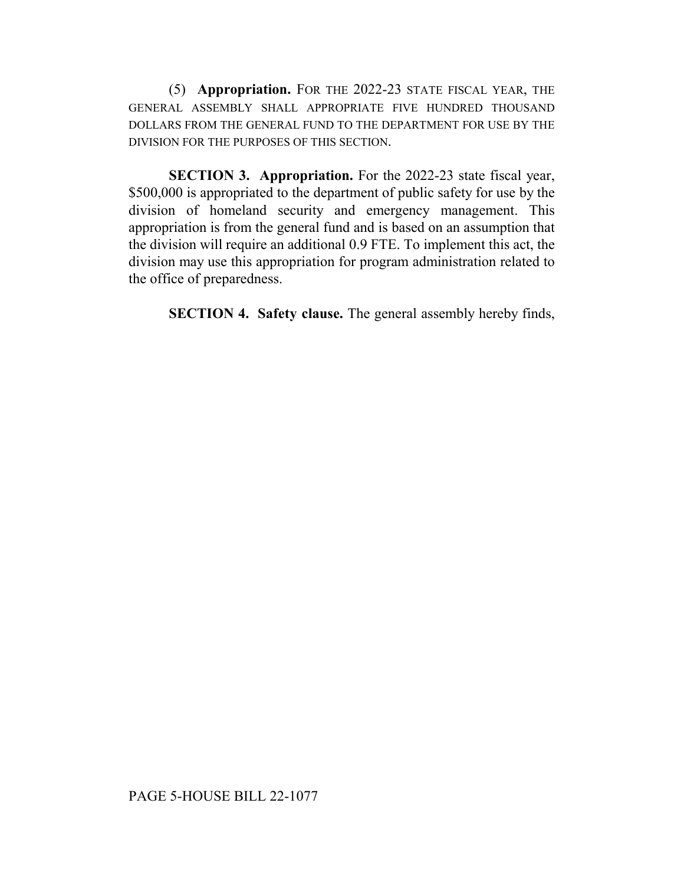(5) **Appropriation.** FOR THE 2022-23 STATE FISCAL YEAR, THE GENERAL ASSEMBLY SHALL APPROPRIATE FIVE HUNDRED THOUSAND DOLLARS FROM THE GENERAL FUND TO THE DEPARTMENT FOR USE BY THE DIVISION FOR THE PURPOSES OF THIS SECTION.

**SECTION 3. Appropriation.** For the 2022-23 state fiscal year, \$500,000 is appropriated to the department of public safety for use by the division of homeland security and emergency management. This appropriation is from the general fund and is based on an assumption that the division will require an additional 0.9 FTE. To implement this act, the division may use this appropriation for program administration related to the office of preparedness.

**SECTION 4. Safety clause.** The general assembly hereby finds,